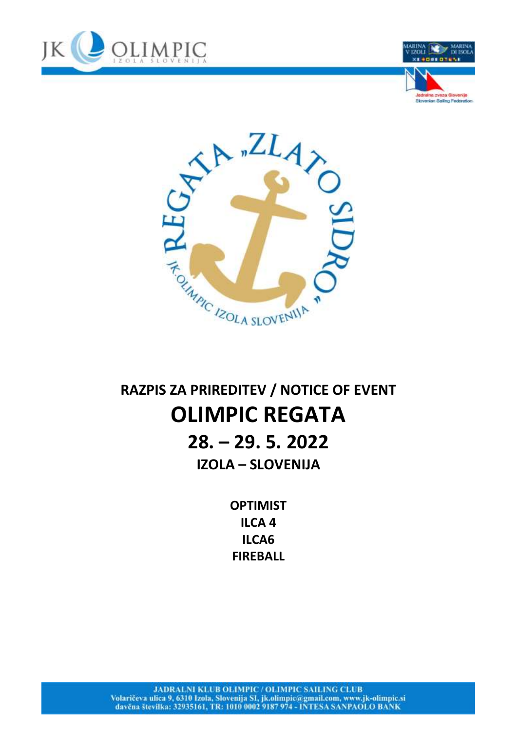





## RAZPIS ZA PRIREDITEV / NOTICE OF EVENT **OLIMPIC REGATA**  $28. - 29.5.2022$ **IZOLA - SLOVENIJA**

**OPTIMIST ILCA4** ILCA6 **FIREBALL**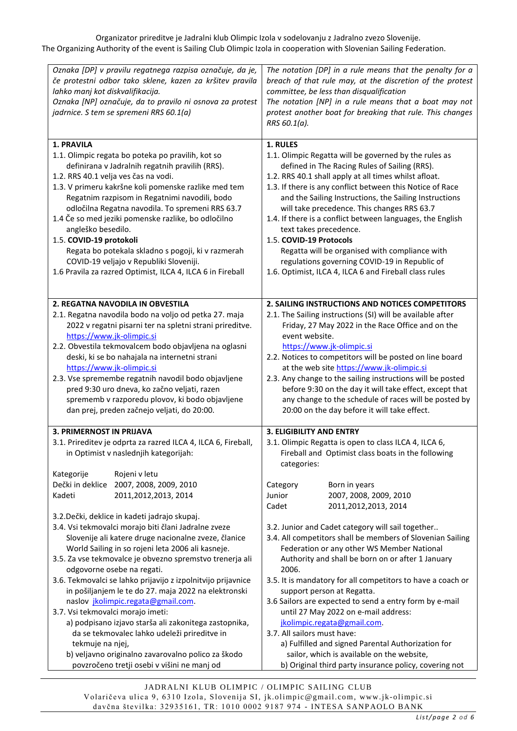Organizator prireditve je Jadralni klub Olimpic Izola v sodelovanju z Jadralno zvezo Slovenije. The Organizing Authority of the event is Sailing Club Olimpic Izola in cooperation with Slovenian Sailing Federation.

| Oznaka [DP] v pravilu regatnega razpisa označuje, da je,<br>če protestni odbor tako sklene, kazen za kršitev pravila<br>lahko manj kot diskvalifikacija.<br>Oznaka [NP] označuje, da to pravilo ni osnova za protest<br>jadrnice. S tem se spremeni RRS 60.1(a)                                                                                                                                                                                                                                                                                                                                                                                                                                                                                                                      | The notation [DP] in a rule means that the penalty for a<br>breach of that rule may, at the discretion of the protest<br>committee, be less than disqualification<br>The notation [NP] in a rule means that a boat may not<br>protest another boat for breaking that rule. This changes<br>RRS 60.1(a).                                                                                                                                                                                                                                                                                                                                                                                         |
|--------------------------------------------------------------------------------------------------------------------------------------------------------------------------------------------------------------------------------------------------------------------------------------------------------------------------------------------------------------------------------------------------------------------------------------------------------------------------------------------------------------------------------------------------------------------------------------------------------------------------------------------------------------------------------------------------------------------------------------------------------------------------------------|-------------------------------------------------------------------------------------------------------------------------------------------------------------------------------------------------------------------------------------------------------------------------------------------------------------------------------------------------------------------------------------------------------------------------------------------------------------------------------------------------------------------------------------------------------------------------------------------------------------------------------------------------------------------------------------------------|
| <b>1. PRAVILA</b><br>1.1. Olimpic regata bo poteka po pravilih, kot so<br>definirana v Jadralnih regatnih pravilih (RRS).<br>1.2. RRS 40.1 velja ves čas na vodi.<br>1.3. V primeru kakršne koli pomenske razlike med tem<br>Regatnim razpisom in Regatnimi navodili, bodo<br>odločilna Regatna navodila. To spremeni RRS 63.7<br>1.4 Če so med jeziki pomenske razlike, bo odločilno<br>angleško besedilo.<br>1.5. COVID-19 protokoli<br>Regata bo potekala skladno s pogoji, ki v razmerah<br>COVID-19 veljajo v Republiki Sloveniji.<br>1.6 Pravila za razred Optimist, ILCA 4, ILCA 6 in Fireball                                                                                                                                                                                | 1. RULES<br>1.1. Olimpic Regatta will be governed by the rules as<br>defined in The Racing Rules of Sailing (RRS).<br>1.2. RRS 40.1 shall apply at all times whilst afloat.<br>1.3. If there is any conflict between this Notice of Race<br>and the Sailing Instructions, the Sailing Instructions<br>will take precedence. This changes RRS 63.7<br>1.4. If there is a conflict between languages, the English<br>text takes precedence.<br>1.5. COVID-19 Protocols<br>Regatta will be organised with compliance with<br>regulations governing COVID-19 in Republic of<br>1.6. Optimist, ILCA 4, ILCA 6 and Fireball class rules                                                               |
| 2. REGATNA NAVODILA IN OBVESTILA<br>2.1. Regatna navodila bodo na voljo od petka 27. maja<br>2022 v regatni pisarni ter na spletni strani prireditve.<br>https://www.jk-olimpic.si<br>2.2. Obvestila tekmovalcem bodo objavljena na oglasni<br>deski, ki se bo nahajala na internetni strani<br>https://www.jk-olimpic.si<br>2.3. Vse spremembe regatnih navodil bodo objavljene<br>pred 9:30 uro dneva, ko začno veljati, razen<br>sprememb v razporedu plovov, ki bodo objavljene<br>dan prej, preden začnejo veljati, do 20:00.                                                                                                                                                                                                                                                   | 2. SAILING INSTRUCTIONS AND NOTICES COMPETITORS<br>2.1. The Sailing instructions (SI) will be available after<br>Friday, 27 May 2022 in the Race Office and on the<br>event website.<br>https://www.jk-olimpic.si<br>2.2. Notices to competitors will be posted on line board<br>at the web site https://www.jk-olimpic.si<br>2.3. Any change to the sailing instructions will be posted<br>before 9:30 on the day it will take effect, except that<br>any change to the schedule of races will be posted by<br>20:00 on the day before it will take effect.                                                                                                                                    |
| <b>3. PRIMERNOST IN PRIJAVA</b><br>3.1. Prireditev je odprta za razred ILCA 4, ILCA 6, Fireball,<br>in Optimist v naslednjih kategorijah:<br>Rojeni v letu<br>Kategorije                                                                                                                                                                                                                                                                                                                                                                                                                                                                                                                                                                                                             | <b>3. ELIGIBILITY AND ENTRY</b><br>3.1. Olimpic Regatta is open to class ILCA 4, ILCA 6,<br>Fireball and Optimist class boats in the following<br>categories:                                                                                                                                                                                                                                                                                                                                                                                                                                                                                                                                   |
| Dečki in deklice<br>2007, 2008, 2009, 2010<br>Kadeti<br>2011, 2012, 2013, 2014<br>3.2. Dečki, deklice in kadeti jadrajo skupaj.<br>3.4. Vsi tekmovalci morajo biti člani Jadralne zveze<br>Slovenije ali katere druge nacionalne zveze, članice<br>World Sailing in so rojeni leta 2006 ali kasneje.<br>3.5. Za vse tekmovalce je obvezno spremstvo trenerja ali<br>odgovorne osebe na regati.<br>3.6. Tekmovalci se lahko prijavijo z izpolnitvijo prijavnice<br>in pošiljanjem le te do 27. maja 2022 na elektronski<br>naslov jkolimpic.regata@gmail.com.<br>3.7. Vsi tekmovalci morajo imeti:<br>a) podpisano izjavo starša ali zakonitega zastopnika,<br>da se tekmovalec lahko udeleži prireditve in<br>tekmuje na njej,<br>b) veljavno originalno zavarovalno polico za škodo | Born in years<br>Category<br>2007, 2008, 2009, 2010<br>Junior<br>Cadet<br>2011,2012,2013, 2014<br>3.2. Junior and Cadet category will sail together<br>3.4. All competitors shall be members of Slovenian Sailing<br>Federation or any other WS Member National<br>Authority and shall be born on or after 1 January<br>2006.<br>3.5. It is mandatory for all competitors to have a coach or<br>support person at Regatta.<br>3.6 Sailors are expected to send a entry form by e-mail<br>until 27 May 2022 on e-mail address:<br>jkolimpic.regata@gmail.com.<br>3.7. All sailors must have:<br>a) Fulfilled and signed Parental Authorization for<br>sailor, which is available on the website, |
| povzročeno tretji osebi v višini ne manj od                                                                                                                                                                                                                                                                                                                                                                                                                                                                                                                                                                                                                                                                                                                                          | b) Original third party insurance policy, covering not                                                                                                                                                                                                                                                                                                                                                                                                                                                                                                                                                                                                                                          |

 $\overline{\phantom{a}}$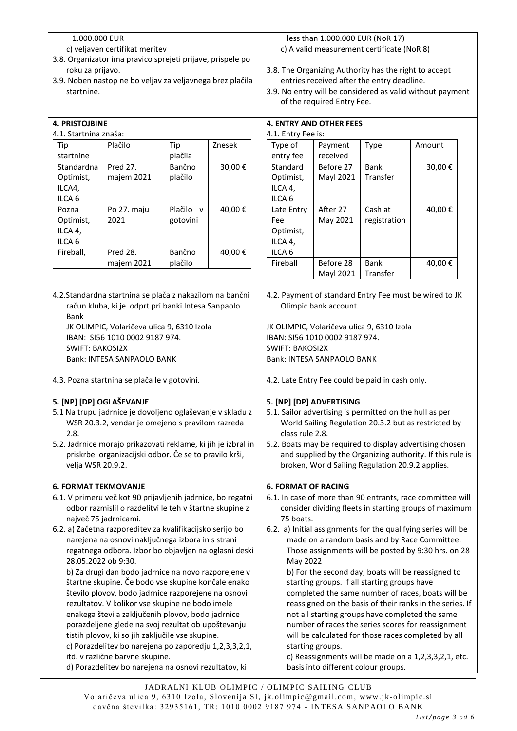## 1.000.000 EUR

- c) veljaven certifikat meritev
- 3.8. Organizator ima pravico sprejeti prijave, prispele po roku za prijavo.
- 3.9. Noben nastop ne bo veljav za veljavnega brez plačila startnine.

## **4. PRISTOJBINE**

| Tip               | Plačilo     | Tip       | Znesek |
|-------------------|-------------|-----------|--------|
| startnine         |             | plačila   |        |
| Standardna        | Pred 27.    | Bančno    | 30,00€ |
| Optimist,         | majem 2021  | plačilo   |        |
| ILCA4,            |             |           |        |
| ILCA <sub>6</sub> |             |           |        |
| Pozna             | Po 27. maju | Plačilo v | 40,00€ |
| Optimist,         | 2021        | gotovini  |        |
| ILCA 4,           |             |           |        |
| ILCA <sub>6</sub> |             |           |        |
| Fireball,         | Pred 28.    | Bančno    | 40,00€ |
|                   | majem 2021  | plačilo   |        |

## less than 1.000.000 EUR (NoR 17) c) A valid measurement certificate (NoR 8)

- 3.8. The Organizing Authority has the right to accept entries received after the entry deadline.
- 3.9. No entry will be considered as valid without payment of the required Entry Fee.

| <b>4. PRISTOJBINE</b>       |                                                               |           |        | <b>4. ENTRY AND OTHER FEES</b> |                       |                                                         |                                                               |
|-----------------------------|---------------------------------------------------------------|-----------|--------|--------------------------------|-----------------------|---------------------------------------------------------|---------------------------------------------------------------|
| 4.1. Startnina znaša:       |                                                               |           |        | 4.1. Entry Fee is:             |                       |                                                         |                                                               |
| Tip                         | Plačilo                                                       | Tip       | Znesek | Type of                        | Payment               | Type                                                    | Amount                                                        |
| startnine                   |                                                               | plačila   |        | entry fee                      | received              |                                                         |                                                               |
| Standardna                  | Pred 27.                                                      | Bančno    | 30,00€ | Standard                       | Before 27             | Bank                                                    | 30,00€                                                        |
| Optimist,                   | majem 2021                                                    | plačilo   |        | Optimist,                      | <b>Mayl 2021</b>      | Transfer                                                |                                                               |
| ILCA4,                      |                                                               |           |        | ILCA 4,                        |                       |                                                         |                                                               |
| ILCA <sub>6</sub>           |                                                               |           |        | ILCA <sub>6</sub>              |                       |                                                         |                                                               |
| Pozna                       | Po 27. maju                                                   | Plačilo v | 40,00€ | Late Entry                     | After 27              | Cash at                                                 | 40,00€                                                        |
| Optimist,                   | 2021                                                          | gotovini  |        | Fee                            | May 2021              | registration                                            |                                                               |
| ILCA 4,                     |                                                               |           |        | Optimist,                      |                       |                                                         |                                                               |
| ILCA <sub>6</sub>           |                                                               |           |        | ILCA 4,                        |                       |                                                         |                                                               |
| Fireball,                   | Pred 28.                                                      | Bančno    | 40,00€ | ILCA <sub>6</sub>              |                       |                                                         |                                                               |
|                             | majem 2021                                                    | plačilo   |        | Fireball                       | Before 28             | <b>Bank</b>                                             | 40,00€                                                        |
|                             |                                                               |           |        |                                | Mayl 2021             | Transfer                                                |                                                               |
|                             |                                                               |           |        |                                |                       |                                                         |                                                               |
|                             | 4.2. Standardna startnina se plača z nakazilom na bančni      |           |        |                                |                       |                                                         | 4.2. Payment of standard Entry Fee must be wired to JK        |
|                             | račun kluba, ki je odprt pri banki Intesa Sanpaolo            |           |        |                                | Olimpic bank account. |                                                         |                                                               |
| <b>Bank</b>                 |                                                               |           |        |                                |                       |                                                         |                                                               |
|                             | JK OLIMPIC, Volaričeva ulica 9, 6310 Izola                    |           |        |                                |                       | JK OLIMPIC, Volaričeva ulica 9, 6310 Izola              |                                                               |
|                             | IBAN: SI56 1010 0002 9187 974.                                |           |        | IBAN: SI56 1010 0002 9187 974. |                       |                                                         |                                                               |
| <b>SWIFT: BAKOSI2X</b>      |                                                               |           |        | <b>SWIFT: BAKOSI2X</b>         |                       |                                                         |                                                               |
|                             | Bank: INTESA SANPAOLO BANK                                    |           |        | Bank: INTESA SANPAOLO BANK     |                       |                                                         |                                                               |
|                             | 4.3. Pozna startnina se plača le v gotovini.                  |           |        |                                |                       | 4.2. Late Entry Fee could be paid in cash only.         |                                                               |
| 5. [NP] [DP] OGLAŠEVANJE    |                                                               |           |        | 5. [NP] [DP] ADVERTISING       |                       |                                                         |                                                               |
|                             | 5.1 Na trupu jadrnice je dovoljeno oglaševanje v skladu z     |           |        |                                |                       | 5.1. Sailor advertising is permitted on the hull as per |                                                               |
|                             | WSR 20.3.2, vendar je omejeno s pravilom razreda              |           |        |                                |                       |                                                         | World Sailing Regulation 20.3.2 but as restricted by          |
| 2.8.                        |                                                               |           |        | class rule 2.8.                |                       |                                                         |                                                               |
|                             | 5.2. Jadrnice morajo prikazovati reklame, ki jih je izbral in |           |        |                                |                       |                                                         | 5.2. Boats may be required to display advertising chosen      |
|                             | priskrbel organizacijski odbor. Če se to pravilo krši,        |           |        |                                |                       |                                                         | and supplied by the Organizing authority. If this rule is     |
| velja WSR 20.9.2.           |                                                               |           |        |                                |                       | broken, World Sailing Regulation 20.9.2 applies.        |                                                               |
|                             |                                                               |           |        |                                |                       |                                                         |                                                               |
| <b>6. FORMAT TEKMOVANJE</b> |                                                               |           |        | <b>6. FORMAT OF RACING</b>     |                       |                                                         |                                                               |
|                             | 6.1. V primeru več kot 90 prijavljenih jadrnice, bo regatni   |           |        |                                |                       |                                                         | 6.1. In case of more than 90 entrants, race committee will    |
|                             | odbor razmislil o razdelitvi le teh v štartne skupine z       |           |        |                                |                       |                                                         | consider dividing fleets in starting groups of maximum        |
|                             | največ 75 jadrnicami.                                         |           |        | 75 boats.                      |                       |                                                         |                                                               |
|                             | 6.2. a) Začetna razporeditev za kvalifikacijsko serijo bo     |           |        |                                |                       |                                                         | 6.2. a) Initial assignments for the qualifying series will be |
|                             | narejena na osnovi naključnega izbora in s strani             |           |        |                                |                       |                                                         | made on a random basis and by Race Committee.                 |
|                             | regatnega odbora. Izbor bo objavljen na oglasni deski         |           |        |                                |                       |                                                         | Those assignments will be posted by 9:30 hrs. on 28           |
| 28.05.2022 ob 9:30.         |                                                               |           |        | May 2022                       |                       |                                                         |                                                               |
|                             | b) Za drugi dan bodo jadrnice na novo razporejene v           |           |        |                                |                       |                                                         | b) For the second day, boats will be reassigned to            |
|                             | štartne skupine. Če bodo vse skupine končale enako            |           |        |                                |                       | starting groups. If all starting groups have            |                                                               |
|                             | število plovov, bodo jadrnice razporejene na osnovi           |           |        |                                |                       |                                                         | completed the same number of races, boats will be             |
|                             | rezultatov. V kolikor vse skupine ne bodo imele               |           |        |                                |                       |                                                         | reassigned on the basis of their ranks in the series. If      |
|                             | enakega števila zaključenih plovov, bodo jadrnice             |           |        |                                |                       | not all starting groups have completed the same         |                                                               |
|                             | porazdeljene glede na svoj rezultat ob upoštevanju            |           |        |                                |                       |                                                         | number of races the series scores for reassignment            |
|                             | tistih plovov, ki so jih zaključile vse skupine.              |           |        |                                |                       |                                                         | will be calculated for those races completed by all           |
|                             | c) Porazdelitev bo narejena po zaporedju 1,2,3,3,2,1,         |           |        |                                | starting groups.      |                                                         |                                                               |
|                             | itd. v različne barvne skupine.                               |           |        |                                |                       |                                                         | c) Reassignments will be made on a 1,2,3,3,2,1, etc.          |
|                             | d) Porazdelitev bo narejena na osnovi rezultatov, ki          |           |        |                                |                       | basis into different colour groups.                     |                                                               |

JADRALNI KLUB OLIMPIC / OLIMPIC SAILING CLUB Volaričeva ulica 9, 6310 Izola, Slovenija SI, jk.olimpic@gmail.com, www.jk-olimpic.si davčna številka: 32935161, TR: 1010 0002 9187 974 - INTESA SANP AOLO BANK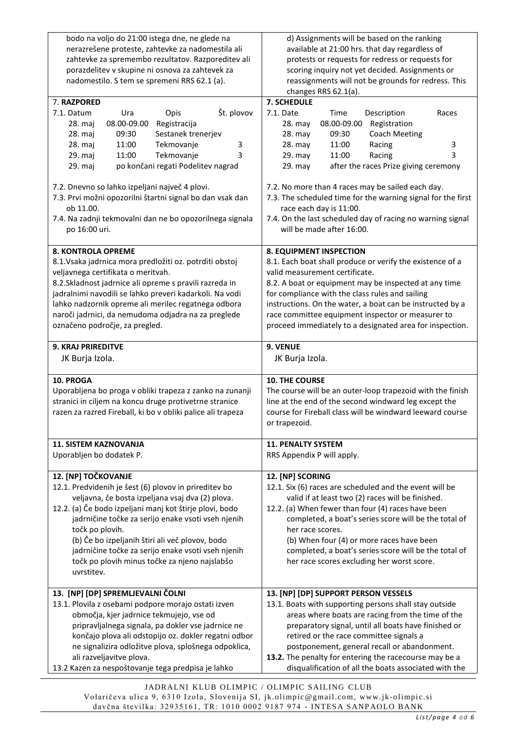| bodo na voljo do 21:00 istega dne, ne glede na              | d) Assignments will be based on the ranking                  |
|-------------------------------------------------------------|--------------------------------------------------------------|
| nerazrešene proteste, zahtevke za nadomestila ali           | available at 21:00 hrs. that day regardless of               |
| zahtevke za spremembo rezultatov. Razporeditev ali          | protests or requests for redress or requests for             |
| porazdelitev v skupine ni osnova za zahtevek za             | scoring inquiry not yet decided. Assignments or              |
| nadomestilo. S tem se spremeni RRS 62.1 (a).                | reassignments will not be grounds for redress. This          |
|                                                             | changes RRS 62.1(a).                                         |
| 7. RAZPORED                                                 | 7. SCHEDULE                                                  |
| Št. plovov<br>7.1. Datum<br>Ura<br>Opis                     | 7.1. Date<br>Time<br>Description<br>Races                    |
| 08.00-09.00<br>Registracija<br>28. maj                      | 08.00-09.00<br>Registration<br>28. may                       |
| 28. maj<br>09:30<br>Sestanek trenerjev                      | <b>Coach Meeting</b><br>28. may<br>09:30                     |
| Tekmovanje<br>28. maj<br>11:00<br>3                         | 28. may<br>11:00<br>Racing<br>3                              |
| Tekmovanje<br>3<br>29. maj<br>11:00                         | 3<br>29. may<br>11:00<br>Racing                              |
| po končani regati Podelitev nagrad<br>29. maj               | 29. may<br>after the races Prize giving ceremony             |
|                                                             |                                                              |
| 7.2. Dnevno so lahko izpeljani največ 4 plovi.              | 7.2. No more than 4 races may be sailed each day.            |
| 7.3. Prvi možni opozorilni štartni signal bo dan vsak dan   | 7.3. The scheduled time for the warning signal for the first |
| ob 11.00.                                                   | race each day is 11:00.                                      |
| 7.4. Na zadnji tekmovalni dan ne bo opozorilnega signala    | 7.4. On the last scheduled day of racing no warning signal   |
| po 16:00 uri.                                               | will be made after 16:00.                                    |
|                                                             |                                                              |
| <b>8. KONTROLA OPREME</b>                                   | <b>8. EQUIPMENT INSPECTION</b>                               |
| 8.1. Vsaka jadrnica mora predložiti oz. potrditi obstoj     | 8.1. Each boat shall produce or verify the existence of a    |
| veljavnega certifikata o meritvah.                          | valid measurement certificate.                               |
| 8.2. Skladnost jadrnice ali opreme s pravili razreda in     | 8.2. A boat or equipment may be inspected at any time        |
| jadralnimi navodili se lahko preveri kadarkoli. Na vodi     | for compliance with the class rules and sailing              |
| lahko nadzornik opreme ali merilec regatnega odbora         | instructions. On the water, a boat can be instructed by a    |
| naroči jadrnici, da nemudoma odjadra na za preglede         | race committee equipment inspector or measurer to            |
| označeno področje, za pregled.                              | proceed immediately to a designated area for inspection.     |
|                                                             |                                                              |
| <b>9. KRAJ PRIREDITVE</b>                                   | 9. VENUE                                                     |
| JK Burja Izola.                                             | JK Burja Izola.                                              |
|                                                             |                                                              |
| 10. PROGA                                                   | <b>10. THE COURSE</b>                                        |
| Uporabljena bo proga v obliki trapeza z zanko na zunanji    | The course will be an outer-loop trapezoid with the finish   |
| stranici in ciljem na koncu druge protivetrne stranice      | line at the end of the second windward leg except the        |
| razen za razred Fireball, ki bo v obliki palice ali trapeza | course for Fireball class will be windward leeward course    |
|                                                             | or trapezoid.                                                |
|                                                             |                                                              |
| <b>11. SISTEM KAZNOVANJA</b>                                | <b>11. PENALTY SYSTEM</b>                                    |
| Uporabljen bo dodatek P.                                    | RRS Appendix P will apply.                                   |
|                                                             |                                                              |
| 12. [NP] TOČKOVANJE                                         | 12. [NP] SCORING                                             |
| 12.1. Predvidenih je šest (6) plovov in prireditev bo       | 12.1. Six (6) races are scheduled and the event will be      |
| veljavna, če bosta izpeljana vsaj dva (2) plova.            | valid if at least two (2) races will be finished.            |
| 12.2. (a) Če bodo izpeljani manj kot štirje plovi, bodo     | 12.2. (a) When fewer than four (4) races have been           |
| jadrničine točke za serijo enake vsoti vseh njenih          | completed, a boat's series score will be the total of        |
| točk po plovih.                                             | her race scores.                                             |
| (b) Če bo izpeljanih štiri ali več plovov, bodo             | (b) When four (4) or more races have been                    |
| jadrničine točke za serijo enake vsoti vseh njenih          | completed, a boat's series score will be the total of        |
| točk po plovih minus točke za njeno najslabšo               | her race scores excluding her worst score.                   |
| uvrstitev.                                                  |                                                              |
|                                                             |                                                              |
| 13. [NP] [DP] SPREMLJEVALNI ČOLNI                           | 13. [NP] [DP] SUPPORT PERSON VESSELS                         |
| 13.1. Plovila z osebami podpore morajo ostati izven         | 13.1. Boats with supporting persons shall stay outside       |
| območja, kjer jadrnice tekmujejo, vse od                    | areas where boats are racing from the time of the            |
| pripravljalnega signala, pa dokler vse jadrnice ne          | preparatory signal, until all boats have finished or         |
| končajo plova ali odstopijo oz. dokler regatni odbor        | retired or the race committee signals a                      |
| ne signalizira odložitve plova, splošnega odpoklica,        | postponement, general recall or abandonment.                 |
| ali razveljavitve plova.                                    | 13.2. The penalty for entering the racecourse may be a       |
| 13.2 Kazen za nespoštovanje tega predpisa je lahko          | disqualification of all the boats associated with the        |

JADRALNI KLUB OLIMPIC / OLIMPIC SAILING CLUB Volaričeva ulica 9, 6310 Izola, Slovenija SI, jk.olimpic@gmail.com, www.jk-olimpic.si davčna številka: 32935161, TR: 1010 0002 9187 974 - INTESA SANP AOLO BANK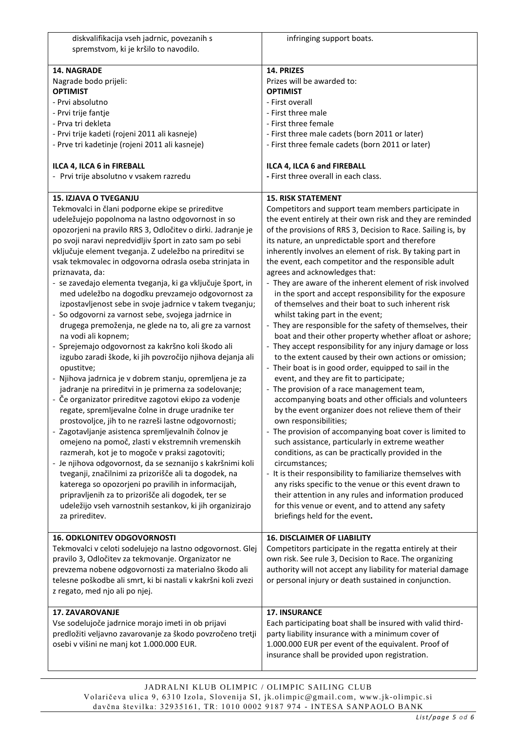| diskvalifikacija vseh jadrnic, povezanih s<br>spremstvom, ki je kršilo to navodilo. | infringing support boats.                                                                                            |
|-------------------------------------------------------------------------------------|----------------------------------------------------------------------------------------------------------------------|
| 14. NAGRADE                                                                         | 14. PRIZES                                                                                                           |
| Nagrade bodo prijeli:<br><b>OPTIMIST</b>                                            | Prizes will be awarded to:<br><b>OPTIMIST</b>                                                                        |
| - Prvi absolutno                                                                    | - First overall                                                                                                      |
| - Prvi trije fantje                                                                 | - First three male                                                                                                   |
| - Prva tri dekleta                                                                  | - First three female                                                                                                 |
| - Prvi trije kadeti (rojeni 2011 ali kasneje)                                       | - First three male cadets (born 2011 or later)                                                                       |
| - Prve tri kadetinje (rojeni 2011 ali kasneje)                                      | - First three female cadets (born 2011 or later)                                                                     |
| ILCA 4, ILCA 6 in FIREBALL                                                          | ILCA 4, ILCA 6 and FIREBALL                                                                                          |
| - Prvi trije absolutno v vsakem razredu                                             | - First three overall in each class.                                                                                 |
| <b>15. IZJAVA O TVEGANJU</b>                                                        | <b>15. RISK STATEMENT</b>                                                                                            |
| Tekmovalci in člani podporne ekipe se prireditve                                    | Competitors and support team members participate in                                                                  |
| udeležujejo popolnoma na lastno odgovornost in so                                   | the event entirely at their own risk and they are reminded                                                           |
| opozorjeni na pravilo RRS 3, Odločitev o dirki. Jadranje je                         | of the provisions of RRS 3, Decision to Race. Sailing is, by                                                         |
| po svoji naravi nepredvidljiv šport in zato sam po sebi                             | its nature, an unpredictable sport and therefore                                                                     |
| vključuje element tveganja. Z udeležbo na prireditvi se                             | inherently involves an element of risk. By taking part in                                                            |
| vsak tekmovalec in odgovorna odrasla oseba strinjata in                             | the event, each competitor and the responsible adult                                                                 |
| priznavata, da:                                                                     | agrees and acknowledges that:                                                                                        |
| - se zavedajo elementa tveganja, ki ga vključuje šport, in                          | - They are aware of the inherent element of risk involved                                                            |
| med udeležbo na dogodku prevzamejo odgovornost za                                   | in the sport and accept responsibility for the exposure                                                              |
| izpostavljenost sebe in svoje jadrnice v takem tveganju;                            | of themselves and their boat to such inherent risk                                                                   |
| - So odgovorni za varnost sebe, svojega jadrnice in                                 | whilst taking part in the event;                                                                                     |
| drugega premoženja, ne glede na to, ali gre za varnost                              | - They are responsible for the safety of themselves, their                                                           |
| na vodi ali kopnem;                                                                 | boat and their other property whether afloat or ashore;                                                              |
| - Sprejemajo odgovornost za kakršno koli škodo ali                                  | - They accept responsibility for any injury damage or loss<br>to the extent caused by their own actions or omission; |
| izgubo zaradi škode, ki jih povzročijo njihova dejanja ali<br>opustitve;            | - Their boat is in good order, equipped to sail in the                                                               |
| - Njihova jadrnica je v dobrem stanju, opremljena je za                             | event, and they are fit to participate;                                                                              |
| jadranje na prireditvi in je primerna za sodelovanje;                               | - The provision of a race management team,                                                                           |
| - Če organizator prireditve zagotovi ekipo za vodenje                               | accompanying boats and other officials and volunteers                                                                |
| regate, spremljevalne čolne in druge uradnike ter                                   | by the event organizer does not relieve them of their                                                                |
| prostovoljce, jih to ne razreši lastne odgovornosti;                                | own responsibilities;                                                                                                |
| - Zagotavljanje asistenca spremljevalnih čolnov je                                  | - The provision of accompanying boat cover is limited to                                                             |
| omejeno na pomoč, zlasti v ekstremnih vremenskih                                    | such assistance, particularly in extreme weather                                                                     |
| razmerah, kot je to mogoče v praksi zagotoviti;                                     | conditions, as can be practically provided in the                                                                    |
| - Je njihova odgovornost, da se seznanijo s kakršnimi koli                          | circumstances;                                                                                                       |
| tveganji, značilnimi za prizorišče ali ta dogodek, na                               | - It is their responsibility to familiarize themselves with                                                          |
| katerega so opozorjeni po pravilih in informacijah,                                 | any risks specific to the venue or this event drawn to                                                               |
| pripravljenih za to prizorišče ali dogodek, ter se                                  | their attention in any rules and information produced                                                                |
| udeležijo vseh varnostnih sestankov, ki jih organizirajo                            | for this venue or event, and to attend any safety                                                                    |
| za prireditev.                                                                      | briefings held for the event.                                                                                        |
| <b>16. ODKLONITEV ODGOVORNOSTI</b>                                                  | <b>16. DISCLAIMER OF LIABILITY</b>                                                                                   |
| Tekmovalci v celoti sodelujejo na lastno odgovornost. Glej                          | Competitors participate in the regatta entirely at their                                                             |
| pravilo 3, Odločitev za tekmovanje. Organizator ne                                  | own risk. See rule 3, Decision to Race. The organizing                                                               |
| prevzema nobene odgovornosti za materialno škodo ali                                | authority will not accept any liability for material damage                                                          |
| telesne poškodbe ali smrt, ki bi nastali v kakršni koli zvezi                       | or personal injury or death sustained in conjunction.                                                                |
| z regato, med njo ali po njej.                                                      |                                                                                                                      |
| 17. ZAVAROVANJE                                                                     | <b>17. INSURANCE</b>                                                                                                 |
| Vse sodelujoče jadrnice morajo imeti in ob prijavi                                  | Each participating boat shall be insured with valid third-                                                           |
| predložiti veljavno zavarovanje za škodo povzročeno tretji                          | party liability insurance with a minimum cover of                                                                    |
| osebi v višini ne manj kot 1.000.000 EUR.                                           | 1.000.000 EUR per event of the equivalent. Proof of                                                                  |
|                                                                                     | insurance shall be provided upon registration.                                                                       |
|                                                                                     |                                                                                                                      |

JADRALNI KLUB OLIMPIC / OLIMPIC SAILING CLUB Volaričeva ulica 9, 6310 Izola, Slovenija SI, jk.olimpic@gmail.com, www.jk-olimpic.si davčna številka: 32935161, TR: 1010 0002 9187 974 - INTESA SANP AOLO BANK